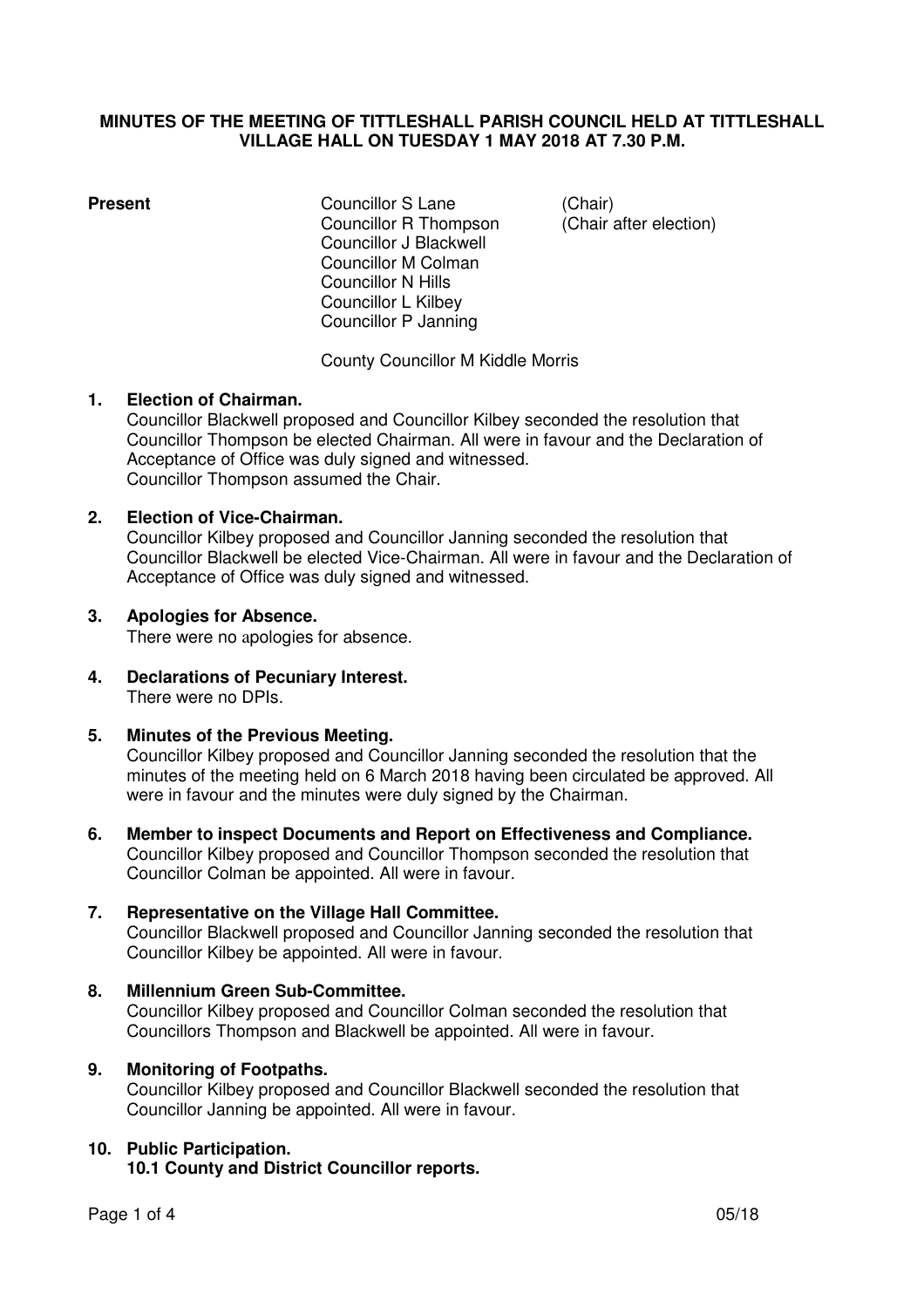## **MINUTES OF THE MEETING OF TITTLESHALL PARISH COUNCIL HELD AT TITTLESHALL VILLAGE HALL ON TUESDAY 1 MAY 2018 AT 7.30 P.M.**

**Present Councillor S Lane (Chair)**  Councillor R Thompson (Chair after election) Councillor J Blackwell Councillor M Colman Councillor N Hills Councillor L Kilbey Councillor P Janning

County Councillor M Kiddle Morris

# **1. Election of Chairman.**

Councillor Blackwell proposed and Councillor Kilbey seconded the resolution that Councillor Thompson be elected Chairman. All were in favour and the Declaration of Acceptance of Office was duly signed and witnessed. Councillor Thompson assumed the Chair.

# **2. Election of Vice-Chairman.**

Councillor Kilbey proposed and Councillor Janning seconded the resolution that Councillor Blackwell be elected Vice-Chairman. All were in favour and the Declaration of Acceptance of Office was duly signed and witnessed.

## **3. Apologies for Absence.**

There were no apologies for absence.

**4. Declarations of Pecuniary Interest.**  There were no DPIs.

## **5. Minutes of the Previous Meeting.**

Councillor Kilbey proposed and Councillor Janning seconded the resolution that the minutes of the meeting held on 6 March 2018 having been circulated be approved. All were in favour and the minutes were duly signed by the Chairman.

**6. Member to inspect Documents and Report on Effectiveness and Compliance.**  Councillor Kilbey proposed and Councillor Thompson seconded the resolution that Councillor Colman be appointed. All were in favour.

## **7. Representative on the Village Hall Committee.**

Councillor Blackwell proposed and Councillor Janning seconded the resolution that Councillor Kilbey be appointed. All were in favour.

## **8. Millennium Green Sub-Committee.**

Councillor Kilbey proposed and Councillor Colman seconded the resolution that Councillors Thompson and Blackwell be appointed. All were in favour.

## **9. Monitoring of Footpaths.**

Councillor Kilbey proposed and Councillor Blackwell seconded the resolution that Councillor Janning be appointed. All were in favour.

# **10. Public Participation.**

 **10.1 County and District Councillor reports.**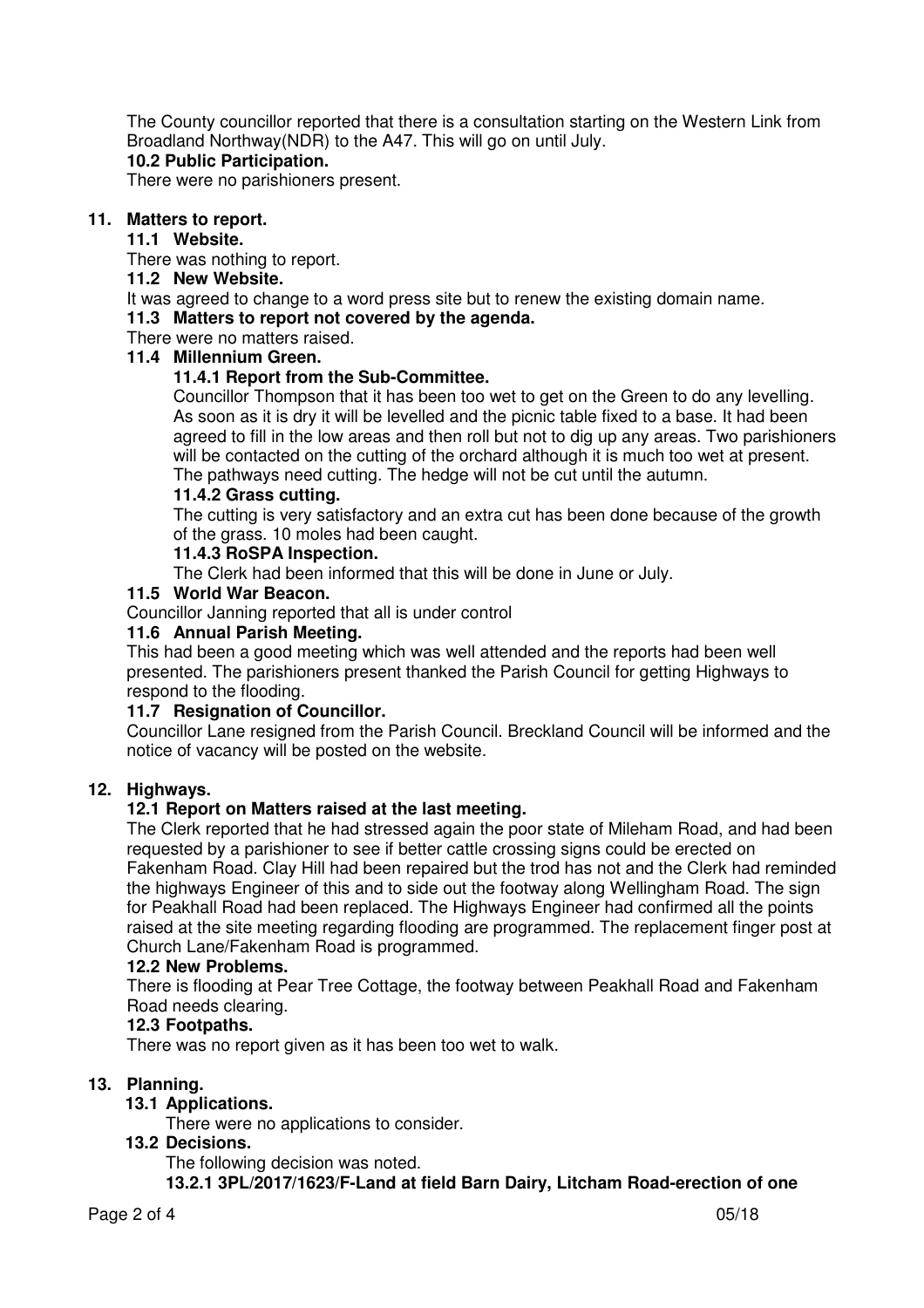The County councillor reported that there is a consultation starting on the Western Link from Broadland Northway(NDR) to the A47. This will go on until July.

# **10.2 Public Participation.**

There were no parishioners present.

# **11. Matters to report.**

## **11.1 Website.**

There was nothing to report.

# **11.2 New Website.**

It was agreed to change to a word press site but to renew the existing domain name.

#### **11.3 Matters to report not covered by the agenda.**

There were no matters raised.

# **11.4 Millennium Green.**

# **11.4.1 Report from the Sub-Committee.**

Councillor Thompson that it has been too wet to get on the Green to do any levelling. As soon as it is dry it will be levelled and the picnic table fixed to a base. It had been agreed to fill in the low areas and then roll but not to dig up any areas. Two parishioners will be contacted on the cutting of the orchard although it is much too wet at present. The pathways need cutting. The hedge will not be cut until the autumn.

## **11.4.2 Grass cutting.**

The cutting is very satisfactory and an extra cut has been done because of the growth of the grass. 10 moles had been caught.

## **11.4.3 RoSPA Inspection.**

The Clerk had been informed that this will be done in June or July.

#### **11.5 World War Beacon.**

Councillor Janning reported that all is under control

#### **11.6 Annual Parish Meeting.**

This had been a good meeting which was well attended and the reports had been well presented. The parishioners present thanked the Parish Council for getting Highways to respond to the flooding.

## **11.7 Resignation of Councillor.**

Councillor Lane resigned from the Parish Council. Breckland Council will be informed and the notice of vacancy will be posted on the website.

## **12. Highways.**

## **12.1 Report on Matters raised at the last meeting.**

The Clerk reported that he had stressed again the poor state of Mileham Road, and had been requested by a parishioner to see if better cattle crossing signs could be erected on Fakenham Road. Clay Hill had been repaired but the trod has not and the Clerk had reminded the highways Engineer of this and to side out the footway along Wellingham Road. The sign for Peakhall Road had been replaced. The Highways Engineer had confirmed all the points raised at the site meeting regarding flooding are programmed. The replacement finger post at Church Lane/Fakenham Road is programmed.

## **12.2 New Problems.**

There is flooding at Pear Tree Cottage, the footway between Peakhall Road and Fakenham Road needs clearing.

## **12.3 Footpaths.**

There was no report given as it has been too wet to walk.

## **13. Planning.**

# **13.1 Applications.**

There were no applications to consider.

## **13.2 Decisions.**

The following decision was noted.

 **13.2.1 3PL/2017/1623/F-Land at field Barn Dairy, Litcham Road-erection of one**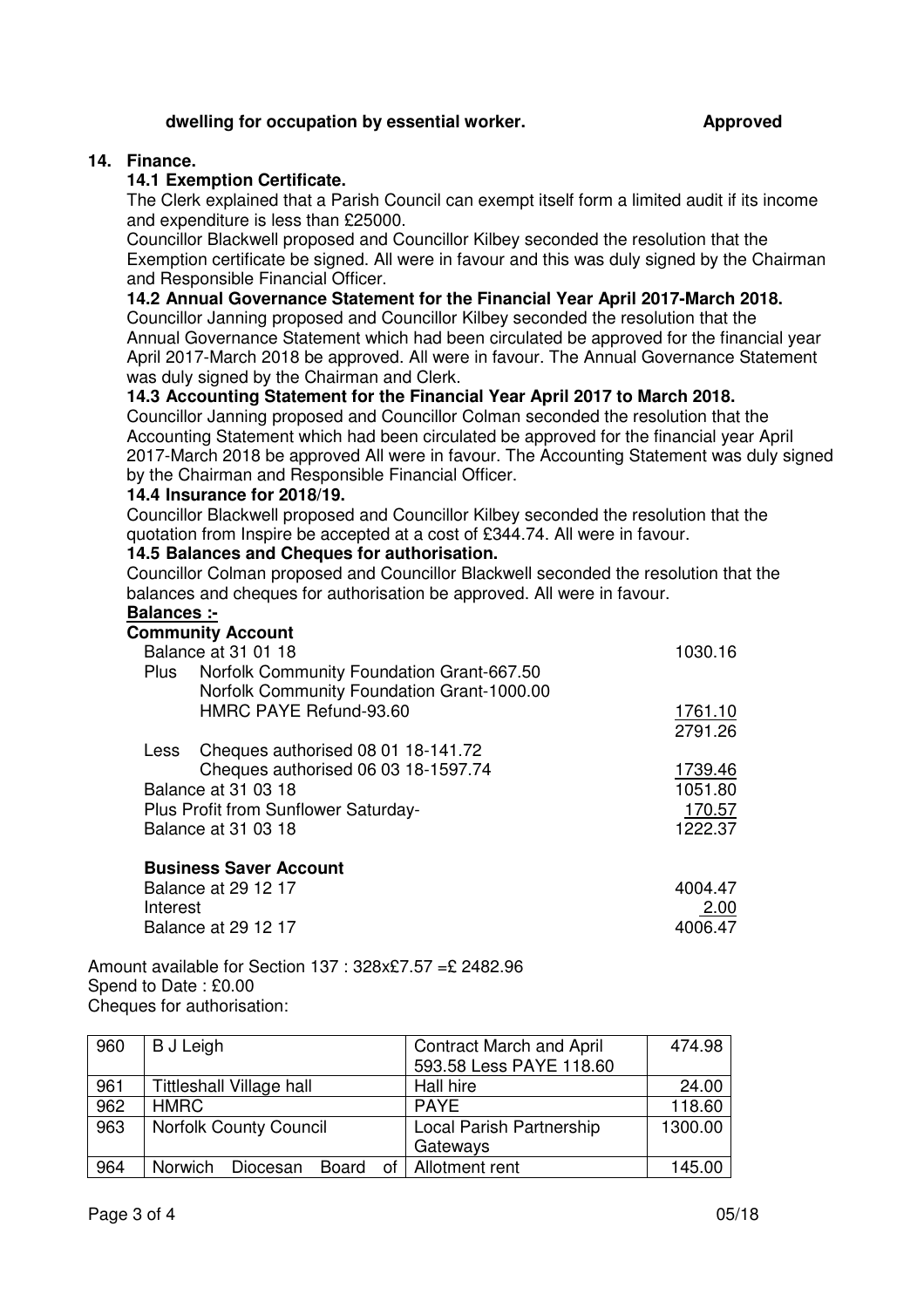## **dwelling for occupation by essential worker. Approved**

# **14. Finance.**

## **14.1 Exemption Certificate.**

The Clerk explained that a Parish Council can exempt itself form a limited audit if its income and expenditure is less than £25000.

Councillor Blackwell proposed and Councillor Kilbey seconded the resolution that the Exemption certificate be signed. All were in favour and this was duly signed by the Chairman and Responsible Financial Officer.

#### **14.2 Annual Governance Statement for the Financial Year April 2017-March 2018.**

Councillor Janning proposed and Councillor Kilbey seconded the resolution that the Annual Governance Statement which had been circulated be approved for the financial year April 2017-March 2018 be approved. All were in favour. The Annual Governance Statement was duly signed by the Chairman and Clerk.

#### **14.3 Accounting Statement for the Financial Year April 2017 to March 2018.**

Councillor Janning proposed and Councillor Colman seconded the resolution that the Accounting Statement which had been circulated be approved for the financial year April 2017-March 2018 be approved All were in favour. The Accounting Statement was duly signed by the Chairman and Responsible Financial Officer.

#### **14.4 Insurance for 2018/19.**

Councillor Blackwell proposed and Councillor Kilbey seconded the resolution that the quotation from Inspire be accepted at a cost of £344.74. All were in favour.

#### **14.5 Balances and Cheques for authorisation.**

Councillor Colman proposed and Councillor Blackwell seconded the resolution that the balances and cheques for authorisation be approved. All were in favour.

#### **Balances :-**

|                     | <b>Community Account</b>                                                                |         |
|---------------------|-----------------------------------------------------------------------------------------|---------|
| Balance at 31 01 18 | 1030.16                                                                                 |         |
| Plus                | Norfolk Community Foundation Grant-667.50<br>Norfolk Community Foundation Grant-1000.00 |         |
|                     | HMRC PAYE Refund-93.60                                                                  | 1761.10 |
|                     |                                                                                         | 2791.26 |
| Less                | Cheques authorised 08 01 18-141.72                                                      |         |
|                     | Cheques authorised 06 03 18-1597.74                                                     | 1739.46 |
|                     | Balance at 31 03 18                                                                     | 1051.80 |
|                     | Plus Profit from Sunflower Saturday-                                                    | 170.57  |
|                     | <b>Balance at 31 03 18</b>                                                              | 1222.37 |
|                     | <b>Business Saver Account</b>                                                           |         |
|                     | Balance at 29 12 17                                                                     | 4004.47 |
| Interest            |                                                                                         | 2.00    |
|                     | Balance at 29 12 17                                                                     | 4006.47 |

Amount available for Section 137 : 328x£7.57 =£ 2482.96 Spend to Date : £0.00 Cheques for authorisation:

| 960 | <b>B</b> J Leigh                           | <b>Contract March and April</b> | 474.98  |
|-----|--------------------------------------------|---------------------------------|---------|
|     |                                            | 593.58 Less PAYE 118.60         |         |
| 961 | <b>Tittleshall Village hall</b>            | Hall hire                       | 24.00   |
| 962 | HMRC                                       | <b>PAYF</b>                     | 118.60  |
| 963 | <b>Norfolk County Council</b>              | Local Parish Partnership        | 1300.00 |
|     |                                            | Gateways                        |         |
| 964 | <b>Norwich</b><br><b>Board</b><br>Diocesan | of   Allotment rent             | 145.00  |